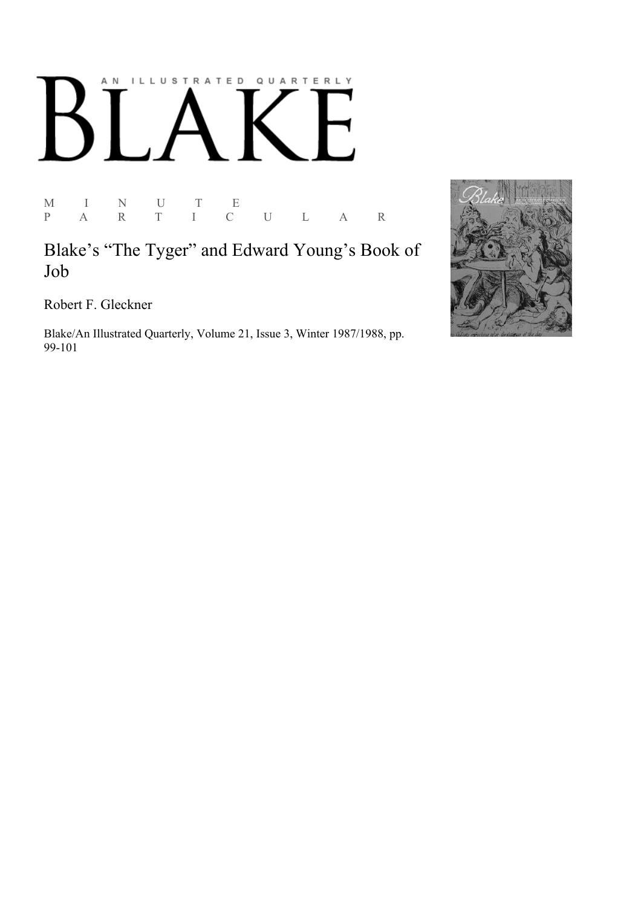## AN ILLUSTRATED QUARTERLY  $\lceil$ Ӄ

M I N U T E P A R T I C U L A R

Blake's "The Tyger" and Edward Young's Book of Job

Robert F. Gleckner

Blake/An Illustrated Quarterly, Volume 21, Issue 3, Winter 1987/1988, pp. 99-101

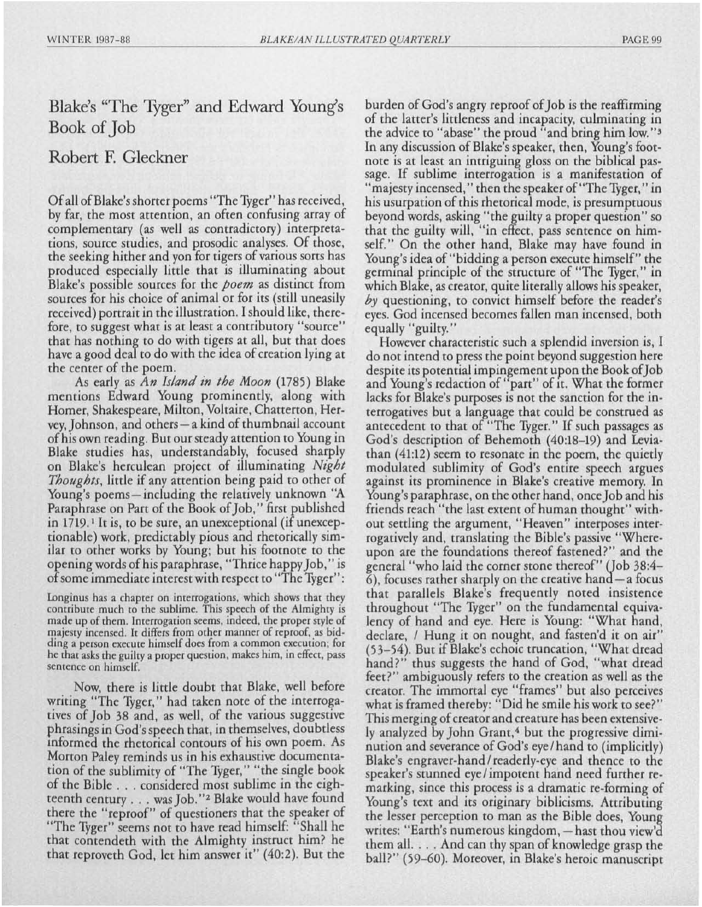## Blake's "The Tyger" and Edward Young's Book of Job

## Robert F. Gleckner

Of all of Blake's shorter poems "The Tyger" has received, by far, the most attention, an often confusing array of complementary (as well as contradictory) interpretations, source studies, and prosodic analyses. Of those, the seeking hither and yon for tigers of various sorts has produced especially little that is illuminating about Blake's possible sources for the *poem* as distinct from sources for his choice of animal or for *its* (still uneasily received) portrait in the illustration. I should like, therefore, to suggest what *is* at least a contributory "source" that has nothing to do with tigers at all, but that does have a good deal to do with the idea of creation lying at the center of the poem.

As early as *An Island in the Moon* (1785) Blake mentions Edward Young prominently, along with Homer, Shakespeare, Milton, Voltaire, Chatterton, Hervey, Johnson, and others - a kind of thumbnail account of his own reading. But our steady attention to Young in Blake studies has, understandably, focused sharply on Blake's herculean project of illuminating *Night Thoughts,* little if any attention being paid to other of Young's poems—including the relatively unknown "A" Paraphrase on Part of the Book of Job," first published in 1719.<sup>1</sup> It is, to be sure, an unexceptional (if unexceptionable) work, predictably pious and rhetorically *sim*ilar to other works by Young; but his footnote to the opening words of his paraphrase, "Thrice happy Job," *is*  of some immediate interest with respect to "The Tyger" :

Longinus has a chapter on interrogations, which shows that they contribute much to the subJime. This *speech* of the Almighty is made up of them. Interrogation *seems,* indeed, the proper style of majesty incensed. It differs from other manner of reproof, as bidding a person execute himself does from a common execution; for he that asks the guilty a proper question, makes him, in effect, pass sentence on himself.

Now, there is little doubt that Blake, well before writing "The Tyger," had taken note of the interrogatives of Job 38 and, as well, of the various suggestive phrasings in God's speech that, in themselves, doubtless 1nformed the rhetorical contours of his own poem. As Morton Paley reminds us in his exhaustive documentation of the *sublimity* of "The Tyger," "the single book of the Bible ... considered most sublime in the eighteenth century ... was Job."2 Blake would have found there the "reproof" of questioners that the speaker of "The Tyger" seems not to have read himself: "Shall he that contendeth with the Almighty instruct him? he that reproveth God, let him answer it" (40:2). But the

burden of God's angry reproof of Job is the reaffirming of the latter's littleness and incapacity, culminating in the advice to "abase" the proud "and bring him low."<sup>3</sup> In any discussion of Blake's speaker, then, Young's footnote is at least an intriguing gloss on the biblical passage. If sublime interrogation is a manifestation of "majesty incensed," then the speaker of "The Tyger," in his usurpation of this rhetorical mode, is presumptuous beyond words, asking "the guilty a proper question" so that the guilty will, "in effect, pass sentence on himself." On the other hand, Blake may have found in Young's idea of "bidding a person execute himself" the germinal principle of the structure of "The Tyger," in which Blake, as creator, quite literally allows his speaker, *by* questioning, to convict himself before the reader's eyes. God incensed becomes fallen man incensed, both equally" *guilty.* "

However characteristic such a splendid inversion *is,* I do not intend to press the point beyond suggestion here despite its potential impingement upon the Book of Job and Young's redaction of' part" of 1t. What the former lacks for Blake's purposes is not the sanction for the interrogatives but a language that could be construed as antecedent to that of "The Tyger." If such passages as God's description of Behemoth (40:18-19) and Leviathan (41:12) seem to resonate in the poem, the quietly modulated *sublimity* of God's entire speech argues against *its* prominence in Blake's creative memory. In Young's paraphrase, on the other hand, once Job and his friends reach "the last extent of human thought" without settling the argument, "Heaven" interposes interrogatively and, translating the Bible's passive "Whereupon are the foundations thereof fastened?" and the general "who laid the corner stone thereof" (Job 38:4-  $\delta$ ), focuses rather sharply on the creative hand  $-a$  focus that parallels Blake's frequently noted insistence throughout "The Tyger" on the fundamental equivalency of hand and eye. Here is Young: "What hand, declare, / Hung it on nought, and fasten'd *it* on air" (53-54). But if Blake's echoic truncation, "What dread hand?" thus suggests the hand of God, "what dread feet?" am biguously refers to the creation as well as the creator. The immortal eye "frames" but also perceives what *is* framed thereby: "Did he smile his work to see?" This merging of creator and creature has been extensively analyzed by John Grant,<sup>4</sup> but the progressive diminution and severance of God's eye / hand to (implicitly) Blake's engraver-hand / readerIy-eye and thence to the speaker's stunned eye / impotent hand need further remarking, since this process is a dramatic re-forming of Young's text and its originary biblicisms. Attributing the lesser perception to man as the Bible does, Young writes: "Earth's numerous kingdom, — hast thou view'd them all. . . . And can thy span of knowledge grasp the ball?" (59-60). Moreover, in Blake's heroic manuscript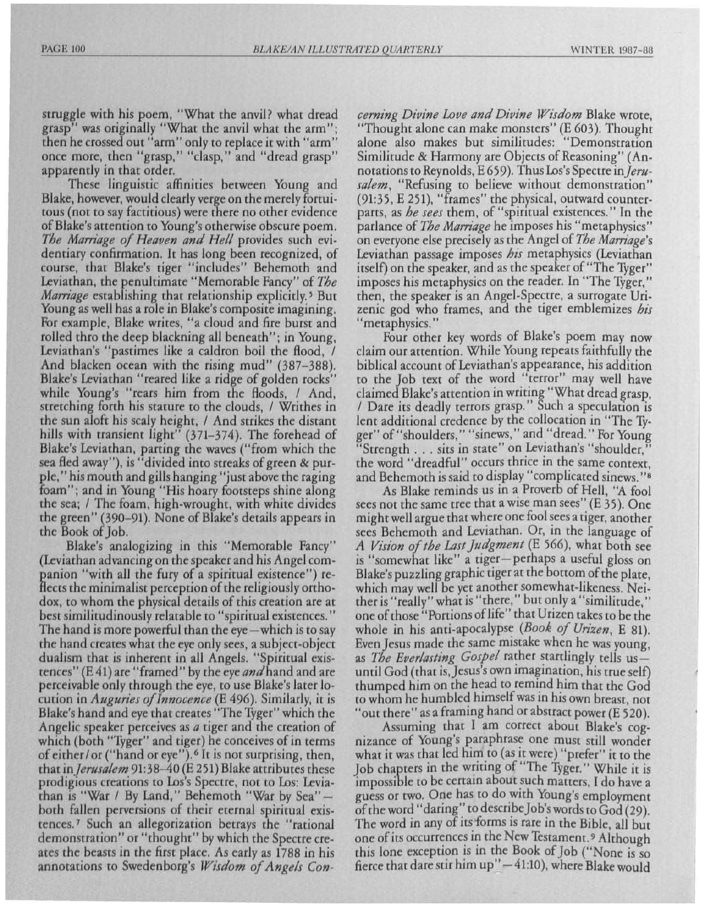struggle with his poem, "What the anvil? what dread grasp" was originally "What the anvil what the arm"; then he crossed out "arm" only to replace it with "arm" once more, then "grasp," "clasp," and "dread grasp" apparently in that order.

These linguistic affinities between Young and Blake, however, would clearly verge on the merely fortuitous (not to say factitious) were there no other evidence of Blake's attention to Young's otherwise obscure *poem. The Mam'age of Heaven and Hell* provides such evidentiary confirmation. It has long been recognized, of course, that Blake's tiger "includes" Behemoth and Leviathan, the penultimate "Memorable Fancy" of *The Marriage* establishing that relationship explicitly.<sup>5</sup> But Young as well has a role in Blake's composite imagining. For example, Blake writes, "a cloud and fire burst and rolled thro the deep blackning all beneath"; in Young, Leviathan's "pastimes like a caldron boil the flood, / And blacken ocean with the rising mud" (387–388). Blake's Leviathan "reared like a ridge of golden rocks" while Young's "rears him from the floods, / And, stretching forth his stature to the clouds, / Writhes in the sun aloft his scaly height, / And strikes the distant hills with transient light" (371-374). The forehead of Blake's Leviathan, parting the waves ("from which the sea fled away"), is "divided into streaks of green & purpIe," his mouth and gills hanging "just above the raging foam"; and in Young "His hoary footsteps shine along the sea; / The foam, high-wrought, with white divides the green" (390–91). None of Blake's details appears in the Book of Job.

Blake's analogizing in this "Memorable Fancy" (Leviathan advancing on the speaker and his Angel companion "with all the fury of a spiritual existence") reflects the minimalist perception of the religiously orthodox, to whom the physical details of this creation are at best similitudinously relatable to "spiritual existences." The hand is more powerful than the eye-which is to say the hand creates what the eye only sees, a subject-object dualism hat is inherent in all Angels. "Spiritual existences" (E 41) are "framed" by the eye and hand and are perc ivable only through the eye, to use Blake's later 10 cution in *Auguries of Innocence* (E 496). Similarly, it is Blake's hand and eye that creates "The Tyger" which the Angelic speaker perceives as  $a$  tiger and the creation of which (both "Tyger" and tiger) he conceives of in terms of either/or ("hand or eye"). <sup>6</sup> It is not surprising, then, that in *Jerusalem* 91:38–40 (E 251) Blake attributes these prodigious creations to Los's Spectre, not to Los: Leviathan is "War / By Land," Behemoth "War by Sea"  $$ both fallen perversions of their eternal spiritual existences.<sup>7</sup> Such an allegorization betrays the "rational demonstration" or "thought" by which the Spectre creates the beasts in the first place. As early as 1788 in his annotations to Swedenborg's *Wisdom of Angels Con-* *cerning Divine Love and Divine Wisdom* Blake wrote, "Thought alone can make monsters" (E 603). Thought alone also makes but similitudes: "Demonstration Similitude & Harmony are Objects of Reasoning" (Annotations to Reynolds, E 659). Thus Los's Spectre *inJerusalem,* "Refusing to believe without demonstration" (91:35, E 251), "frames" the physical, outward counterparts, as *he sees* them, of "spintual existences." In the parlance of *The Mam'age* he imposes his "metaphysics" on everyone else precisely as the Angel of *The Mam'age's*  Leviathan passage imposes *his* metaphysics (Leviathan itself) on the speaker, and as the speaker of "The Tyger" imposes his metaphysics on the reader. In "The Tyger, " then, the speaker is an Angel-Spectre, a surrogate Urizenic god who frames, and the tiger emblemizes *his*  "metaphysics."

Four other key words of Blake's poem may now claim our attention. While Young repeats faithfully the biblical account of Leviathan's appearance, his addition to *the* Job text of the word "terror" may well have claimed Blake's attention in writing "What dread grasp, / Dare its deadly terrors grasp." Such a speculation is lent additional credence by the collocation in "The Tyger" of "shoulders," "sinews," and "dread." For Young "Strength ... sits in state" on Leviathan's "shoulder," the word "dreadful" occurs thrice in the same context, and Behemoth is said to display "complicated sinews. "8

As Blake reminds us in a Proverb of Hell, "A fool sees not the same tree that a wise man sees" (E 35). One might well argue that where one fool sees a tiger, another sees Behemoth and Leviathan. Or, in the language of *A Vision of the Last Judgment* (E 566), what both see is "somewhat like" a tiger- perhaps a useful gloss on Blake's puzzling graphic tiger at the bottom of the plate, which may well be yet another somewhat-likeness. Neither *is"* really" what is "there," but only a "similitude," one of those "Portions of life " that Urizen takes to be the whole in his anti-apocalypse *(Book of Urizen,* E 81). Even Jesus made the same mistake when he was young, as *The Everlasting Gospel* rather startlingly tells usuntil God (that is, Jesus's own imagination, his true self) thumped him on the head to remind him that the God to whom he humbled himself was in his own breast, not "out there" as a framing hand or abstract power (E 520).

Assuming that I am correct about Blake's cognizance of Young's paraphrase one must still wonder what it was that led him to (as it were) "prefer" it to the Job chapters in the writing of "The Tyger." While it is impossible to be certain about such matters, I do have a guess or two. One has to do with Young's employment of the word "daring" to describe Job's words to God (29). The word in any of its forms is rare in the Bible, all but one of its occurrences in the New Testament.<sup>9</sup> Although this lone exception is in the Book of Job ("None is so fierce that dare stir him  $up'' - 41:10$ ), where Blake would